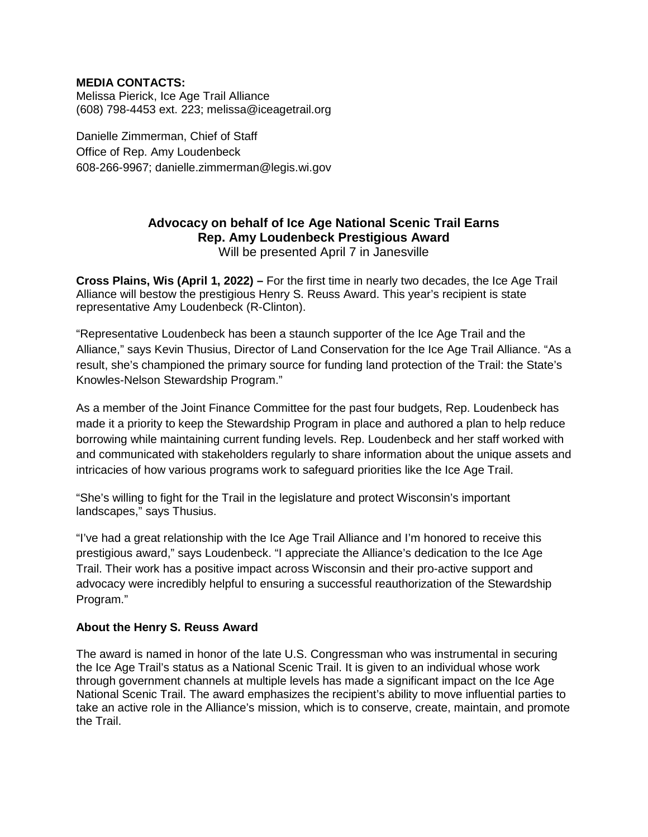# **MEDIA CONTACTS:**

Melissa Pierick, Ice Age Trail Alliance (608) 798-4453 ext. 223; melissa@iceagetrail.org

Danielle Zimmerman, Chief of Staff Office of Rep. Amy Loudenbeck 608-266-9967; danielle.zimmerman@legis.wi.gov

# **Advocacy on behalf of Ice Age National Scenic Trail Earns Rep. Amy Loudenbeck Prestigious Award**

Will be presented April 7 in Janesville

**Cross Plains, Wis (April 1, 2022) –** For the first time in nearly two decades, the Ice Age Trail Alliance will bestow the prestigious Henry S. Reuss Award. This year's recipient is state representative Amy Loudenbeck (R-Clinton).

"Representative Loudenbeck has been a staunch supporter of the Ice Age Trail and the Alliance," says Kevin Thusius, Director of Land Conservation for the Ice Age Trail Alliance. "As a result, she's championed the primary source for funding land protection of the Trail: the State's Knowles-Nelson Stewardship Program."

As a member of the Joint Finance Committee for the past four budgets, Rep. Loudenbeck has made it a priority to keep the Stewardship Program in place and authored a plan to help reduce borrowing while maintaining current funding levels. Rep. Loudenbeck and her staff worked with and communicated with stakeholders regularly to share information about the unique assets and intricacies of how various programs work to safeguard priorities like the Ice Age Trail.

"She's willing to fight for the Trail in the legislature and protect Wisconsin's important landscapes," says Thusius.

"I've had a great relationship with the Ice Age Trail Alliance and I'm honored to receive this prestigious award," says Loudenbeck. "I appreciate the Alliance's dedication to the Ice Age Trail. Their work has a positive impact across Wisconsin and their pro-active support and advocacy were incredibly helpful to ensuring a successful reauthorization of the Stewardship Program."

# **About the Henry S. Reuss Award**

The award is named in honor of the late U.S. Congressman who was instrumental in securing the Ice Age Trail's status as a National Scenic Trail. It is given to an individual whose work through government channels at multiple levels has made a significant impact on the Ice Age National Scenic Trail. The award emphasizes the recipient's ability to move influential parties to take an active role in the Alliance's mission, which is to conserve, create, maintain, and promote the Trail.